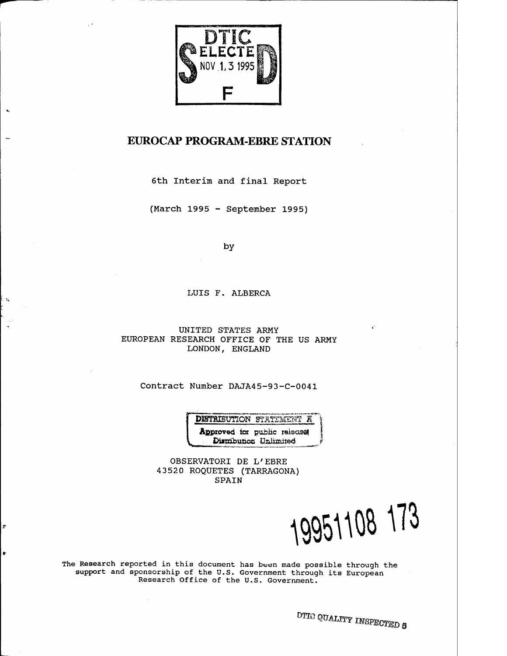

## EUROCAP PROGRAM-EBRE STATION

 $\mathbf{h}_i$ 

н,

ŧк

÷

ŧ

6th Interim and final Report

(March 1995 - September 1995)

by

#### LUIS F. ALBERCA

UNITED STATES ARMY EUROPEAN RESEARCH OFFICE OF THE US ARMY LONDON, ENGLAND

Contract Number DAJA45-93-C-0041

DISTRIBUTION STATEMENT **R** Approved tor public releases Distribution Unlimited

OBSERVATORI DE L'EBRE 43520 ROQUETES (TARRAGONA) SPAIN

19951108 173

The Research reported in this document has been made possible through the support and sponsorship of the U.S. Government through its European Research Office of the U.S. Government.

*DTIG QUALITY INSPECTED* **8**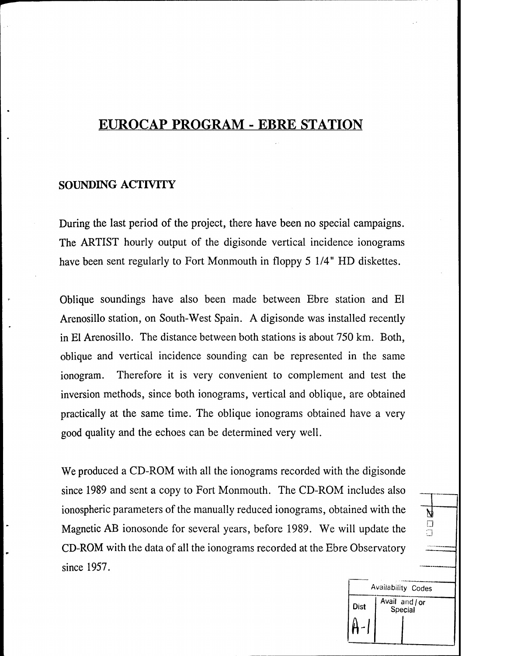# EUROCAP PROGRAM - EBRE STATION

#### **SOUNDING ACTIVITY**

During the last period of the project, there have been no special campaigns. The ARTIST hourly output of the digisonde vertical incidence ionograms have been sent regularly to Fort Monmouth in floppy 5 1/4" HD diskettes.

Oblique soundings have also been made between Ebre station and El Arenosillo station, on South-West Spain. A digisonde was installed recently in El Arenosillo. The distance between both stations is about 750 km. Both, oblique and vertical incidence sounding can be represented in the same ionogram. Therefore it is very convenient to complement and test the inversion methods, since both ionograms, vertical and oblique, are obtained practically at the same time. The oblique ionograms obtained have a very good quality and the echoes can be determined very well.

We produced a CD-ROM with all the ionograms recorded with the digisonde since 1989 and sent a copy to Fort Monmouth. The CD-ROM includes also ionospheric parameters of the manually reduced ionograms, obtained with the  $\frac{1}{N}$ Magnetic AB ionosonde for several years, before 1989. We will update the CD-ROM with the data of all the ionograms recorded at the Ebre Observatory since 1957.

> Availability Codes Avail and / or Dist Special

**D**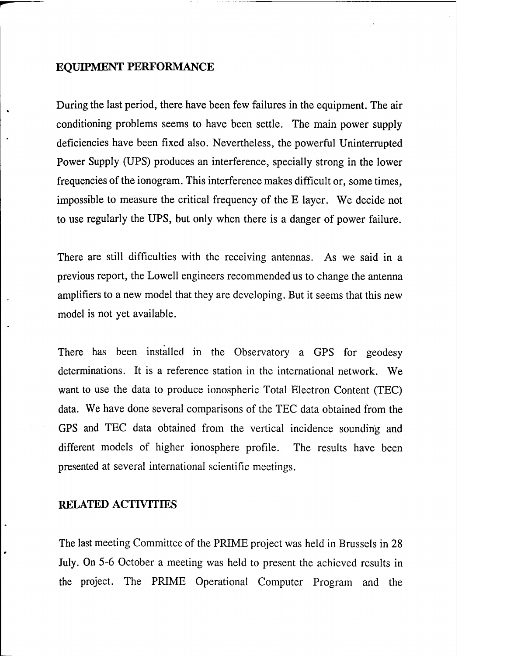### **EQUIPMENT PERFORMANCE**

During the last period, there have been few failures in the equipment. The air conditioning problems seems to have been settle. The main power supply deficiencies have been fixed also. Nevertheless, the powerful Uninterrupted Power Supply (UPS) produces an interference, specially strong in the lower frequencies of the ionogram. This interference makes difficult or, some times, impossible to measure the critical frequency of the E layer. We decide not to use regularly the UPS, but only when there is a danger of power failure.

There are still difficulties with the receiving antennas. As we said in a previous report, the Lowell engineers recommended us to change the antenna amplifiers to a new model that they are developing. But it seems that this new model is not yet available.

There has been installed in the Observatory a GPS for geodesy determinations. It is a reference station in the international network. We want to use the data to produce ionospheric Total Electron Content (TEC) data. We have done several comparisons of the TEC data obtained from the GPS and TEC data obtained from the vertical incidence sounding and different models of higher ionosphere profile. The results have been presented at several international scientific meetings.

#### **RELATED ACTIVITIES**

The last meeting Committee of the PRIME project was held in Brussels in 28 July. On 5-6 October a meeting was held to present the achieved results in the project. The PRIME Operational Computer Program and the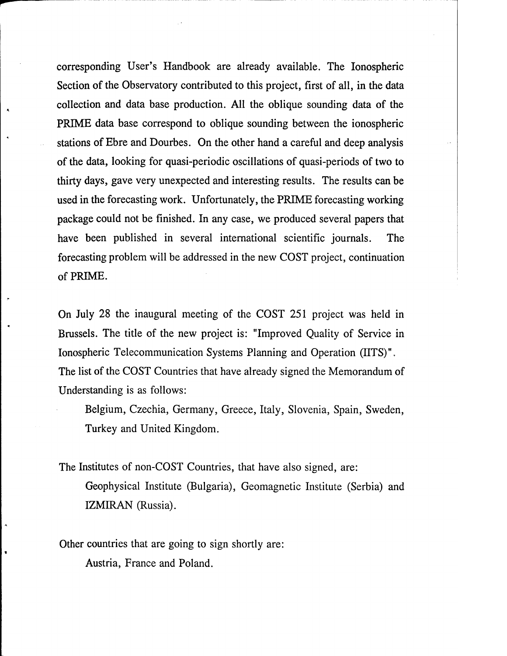corresponding User's Handbook are already available. The Ionospheric Section of the Observatory contributed to this project, first of all, in the data collection and data base production. All the oblique sounding data of the PRIME data base correspond to oblique sounding between the ionospheric stations of Ebre and Dourbes. On the other hand a careful and deep analysis of the data, looking for quasi-periodic oscillations of quasi-periods of two to thirty days, gave very unexpected and interesting results. The results can be used in the forecasting work. Unfortunately, the PRIME forecasting working package could not be finished. In any case, we produced several papers that have been published in several international scientific journals. The forecasting problem will be addressed in the new COST project, continuation of PRIME.

On July 28 the inaugural meeting of the COST 251 project was held in Brussels. The title of the new project is: "Improved Quality of Service in Ionospheric Telecommunication Systems Planning and Operation (UTS)", The list of the COST Countries that have already signed the Memorandum of Understanding is as follows:

Belgium, Czechia, Germany, Greece, Italy, Slovenia, Spain, Sweden, Turkey and United Kingdom.

The Institutes of non-COST Countries, that have also signed, are: Geophysical Institute (Bulgaria), Geomagnetic Institute (Serbia) and IZMIRAN (Russia).

Other countries that are going to sign shortly are:

Austria, France and Poland.